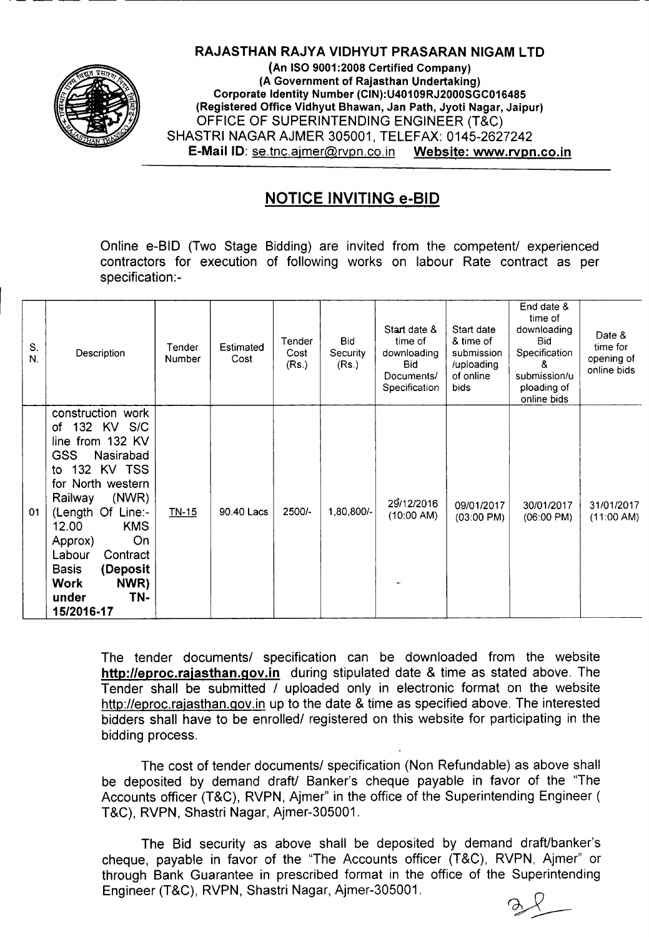

## RAJASTHAN RAJYA VIOHYUT PRASARAN NIGAM LTO

.- -- --- --- ----------------------------------------------------------------

(An ISO 9001:2008 Certified Company) (A Government of Rajasthan Undertaking) Corporate Identity Number (CIN):U40109RJ2000SGC016485 (Registered Office Vidhyut Bhawan, Jan Path, Jyoti Nagar, Jaipur) OFFICE OF SUPERINTENDING ENGINEER (T&C) SHASTRI NAGAR AJMER 305001, TELEFAX: 0145-2627242 E-MaiIIO:se.tnc.ajmer@rvpn.co.in Website: www.rvpn.co.in

## NOTICE INVITING e-BID

Online e-BID (Two Stage Bidding) are invited from the competent/ experienced contractors for execution of following works on labour Rate contract as per specification: -

| S.<br>N. | Description                                                                                                                                                                                                                                                                                                        | Tender<br>Number | Estimated<br>Cost | Tender<br>Cost<br>(Rs.) | <b>Bid</b><br>Security<br>(Rs.) | Start date &<br>time of<br>downloading<br><b>Bid</b><br>Documents/<br>Specification | Start date<br>& time of<br>submission<br>/uploading<br>of online<br>bids | End date &<br>time of<br>downloading<br>Bid.<br>Specification<br>8.<br>submission/u<br>ploading of<br>online bids | Date &<br>time for<br>opening of<br>online bids |
|----------|--------------------------------------------------------------------------------------------------------------------------------------------------------------------------------------------------------------------------------------------------------------------------------------------------------------------|------------------|-------------------|-------------------------|---------------------------------|-------------------------------------------------------------------------------------|--------------------------------------------------------------------------|-------------------------------------------------------------------------------------------------------------------|-------------------------------------------------|
| 01       | construction work<br>132 KV S/C<br>of<br>line from 132 KV<br><b>GSS</b><br>Nasirabad<br>to 132 KV TSS<br>for North western<br>(NWR)<br>Railway<br>(Length Of Line:-<br>12.00<br><b>KMS</b><br>On<br>Approx)<br>Labour<br>Contract<br>(Deposit<br><b>Basis</b><br>NWR)<br><b>Work</b><br>TN-<br>under<br>15/2016-17 | <u>TN-15</u>     | 90.40 Lacs        | 2500/-                  | 1,80,800/-                      | 29/12/2016<br>$(10:00 \text{ AM})$                                                  | 09/01/2017<br>$(03:00 \text{ PM})$                                       | 30/01/2017<br>$(06:00 \text{ PM})$                                                                                | 31/01/2017<br>(11:00 AM)                        |

The tender documents/ specification can be downloaded from the website http://eproc.rajasthan.gov.in during stipulated date & time as stated above. The Tender shall be submitted / uploaded only in electronic format on the website http://eproc.rajasthan.gov.in up to the date & time as specified above. The interested bidders shall have to be enrolled/ registered on this website for participating in the bidding process.

The cost of tender documents/ specification (Non Refundable) as above shall be deposited by demand draft/ Banker's cheque payable in favor of the "The Accounts officer (T&C), RVPN, Ajmer" in the office of the Superintending Engineer ( T&C), RVPN, Shastri Nagar, Ajmer-305001.

The Bid security as above shall be deposited by demand draft/banker's cheque, payable in favor of the "The Accounts officer (T&C), RVPN, Ajmer" or through Bank Guarantee in prescribed format in the office of the Superintending Engineer (T&C), RVPN, Shastri Nagar, Ajmer-305001.